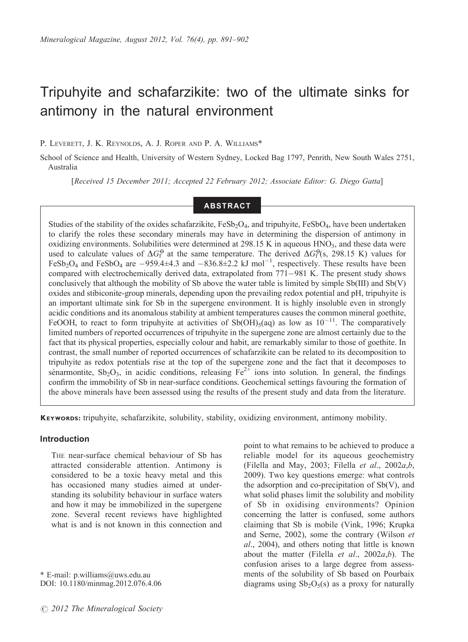# Tripuhyite and schafarzikite: two of the ultimate sinks for antimony in the natural environment

## P. LEVERETT, J. K. REYNOLDS, A. J. ROPER AND P. A. WILLIAMS\*

School of Science and Health, University of Western Sydney, Locked Bag 1797, Penrith, New South Wales 2751, Australia

[Received 15 December 2011; Accepted 22 February 2012; Associate Editor: G. Diego Gatta]

# ABSTRACT

Studies of the stability of the oxides schafarzikite,  $FeSb_2O_4$ , and tripuhyite,  $FeSb_4$ , have been undertaken to clarify the roles these secondary minerals may have in determining the dispersion of antimony in oxidizing environments. Solubilities were determined at  $298.15$  K in aqueous  $HNO<sub>3</sub>$ , and these data were used to calculate values of  $\Delta G_{\rm F}^{\Theta}$  at the same temperature. The derived  $\Delta G_{\rm F}^{\Theta}$ (s, 298.15 K) values for FeSb<sub>2</sub>O<sub>4</sub> and FeSbO<sub>4</sub> are  $-959.4\pm4.3$  and  $-836.8\pm2.2$  kJ mol<sup>-1</sup>, respectively. These results have been compared with electrochemically derived data, extrapolated from 771-981 K. The present study shows conclusively that although the mobility of Sb above the water table is limited by simple  $Sb(III)$  and  $Sb(V)$ oxides and stibiconite-group minerals, depending upon the prevailing redox potential and pH, tripuhyite is an important ultimate sink for Sb in the supergene environment. It is highly insoluble even in strongly acidic conditions and its anomalous stability at ambient temperatures causes the common mineral goethite, FeOOH, to react to form tripuhyite at activities of  $Sb(OH)_{5}(aq)$  as low as  $10^{-11}$ . The comparatively limited numbers of reported occurrences of tripuhyite in the supergene zone are almost certainly due to the fact that its physical properties, especially colour and habit, are remarkably similar to those of goethite. In contrast, the small number of reported occurrences of schafarzikite can be related to its decomposition to tripuhyite as redox potentials rise at the top of the supergene zone and the fact that it decomposes to senarmontite,  $Sb_2O_3$ , in acidic conditions, releasing  $Fe^{2+}$  ions into solution. In general, the findings confirm the immobility of Sb in near-surface conditions. Geochemical settings favouring the formation of the above minerals have been assessed using the results of the present study and data from the literature.

KEYWORDS: tripuhyite, schafarzikite, solubility, stability, oxidizing environment, antimony mobility.

## Introduction

THE near-surface chemical behaviour of Sb has attracted considerable attention. Antimony is considered to be a toxic heavy metal and this has occasioned many studies aimed at understanding its solubility behaviour in surface waters and how it may be immobilized in the supergene zone. Several recent reviews have highlighted what is and is not known in this connection and

\* E-mail: p.williams@uws.edu.au DOI: 10.1180/minmag.2012.076.4.06 point to what remains to be achieved to produce a reliable model for its aqueous geochemistry (Filella and May, 2003; Filella et al.,  $2002a,b$ , 2009). Two key questions emerge: what controls the adsorption and co-precipitation of  $Sb(V)$ , and what solid phases limit the solubility and mobility of Sb in oxidising environments? Opinion concerning the latter is confused, some authors claiming that Sb is mobile (Vink, 1996; Krupka and Serne, 2002), some the contrary (Wilson et al., 2004), and others noting that little is known about the matter (Filella et al.,  $2002a,b$ ). The confusion arises to a large degree from assessments of the solubility of Sb based on Pourbaix diagrams using  $Sb_2O_5(s)$  as a proxy for naturally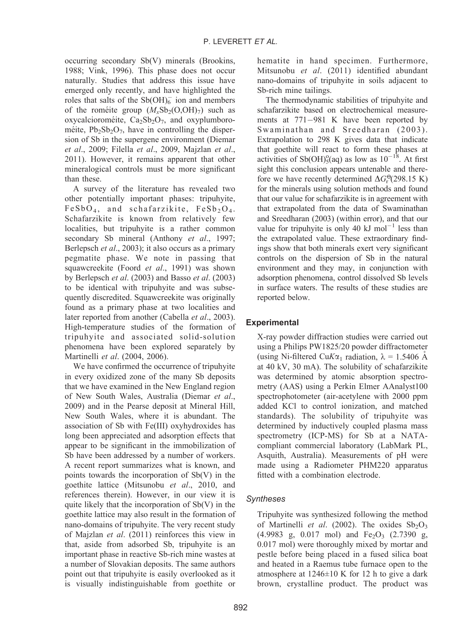occurring secondary Sb(V) minerals (Brookins, 1988; Vink, 1996). This phase does not occur naturally. Studies that address this issue have emerged only recently, and have highlighted the roles that salts of the  $Sb(OH)_6^-$  ion and members of the rometite group  $(M_rSb_2(O,OH)_7)$  such as oxycalcioroméite,  $Ca_2Sb_2O_7$ , and oxyplumboroméite,  $Pb_2Sb_2O_7$ , have in controlling the dispersion of Sb in the supergene environment (Diemar et al., 2009; Filella et al., 2009, Majzlan et al., 2011). However, it remains apparent that other mineralogical controls must be more significant than these.

A survey of the literature has revealed two other potentially important phases: tripuhyite,  $FeSbO<sub>4</sub>$ , and schafarzikite,  $FeSb<sub>2</sub>O<sub>4</sub>$ . Schafarzikite is known from relatively few localities, but tripuhyite is a rather common secondary Sb mineral (Anthony et al., 1997; Berlepsch et al., 2003); it also occurs as a primary pegmatite phase. We note in passing that squawcreekite (Foord et al., 1991) was shown by Berlepsch et al. (2003) and Basso et al. (2003) to be identical with tripuhyite and was subsequently discredited. Squawcreekite was originally found as a primary phase at two localities and later reported from another (Cabella et al., 2003). High-temperature studies of the formation of tripuhyite and associated solid-solution phenomena have been explored separately by Martinelli et al. (2004, 2006).

We have confirmed the occurrence of tripuhyite in every oxidized zone of the many Sb deposits that we have examined in the New England region of New South Wales, Australia (Diemar et al., 2009) and in the Pearse deposit at Mineral Hill, New South Wales, where it is abundant. The association of Sb with Fe(III) oxyhydroxides has long been appreciated and adsorption effects that appear to be significant in the immobilization of Sb have been addressed by a number of workers. A recent report summarizes what is known, and points towards the incorporation of Sb(V) in the goethite lattice (Mitsunobu et al., 2010, and references therein). However, in our view it is quite likely that the incorporation of  $Sb(V)$  in the goethite lattice may also result in the formation of nano-domains of tripuhyite. The very recent study of Majzlan et al. (2011) reinforces this view in that, aside from adsorbed Sb, tripuhyite is an important phase in reactive Sb-rich mine wastes at a number of Slovakian deposits. The same authors point out that tripuhyite is easily overlooked as it is visually indistinguishable from goethite or

hematite in hand specimen. Furthermore, Mitsunobu et al. (2011) identified abundant nano-domains of tripuhyite in soils adjacent to Sb-rich mine tailings.

The thermodynamic stabilities of tripuhyite and schafarzikite based on electrochemical measurements at 771-981 K have been reported by Swaminathan and Sreedharan (2003). Extrapolation to 298 K gives data that indicate that goethite will react to form these phases at activities of  $\text{Sb(OH)}^{\text{o}}_{5}$ (aq) as low as  $10^{-18}$ . At first sight this conclusion appears untenable and therefore we have recently determined  $\Delta G_r^{\Theta}$ (298.15 K) for the minerals using solution methods and found that our value for schafarzikite is in agreement with that extrapolated from the data of Swaminathan and Sreedharan (2003) (within error), and that our value for tripuhyite is only 40  $kJ$  mol<sup>-1</sup> less than the extrapolated value. These extraordinary findings show that both minerals exert very significant controls on the dispersion of Sb in the natural environment and they may, in conjunction with adsorption phenomena, control dissolved Sb levels in surface waters. The results of these studies are reported below.

# **Experimental**

X-ray powder diffraction studies were carried out using a Philips PW1825/20 powder diffractometer (using Ni-filtered CuK $\alpha_1$  radiation,  $\lambda = 1.5406$  Å at 40 kV, 30 mA). The solubility of schafarzikite was determined by atomic absorption spectrometry (AAS) using a Perkin Elmer AAnalyst100 spectrophotometer (air-acetylene with 2000 ppm added KCl to control ionization, and matched standards). The solubility of tripuhyite was determined by inductively coupled plasma mass spectrometry (ICP-MS) for Sb at a NATAcompliant commercial laboratory (LabMark PL, Asquith, Australia). Measurements of pH were made using a Radiometer PHM220 apparatus fitted with a combination electrode.

# **Syntheses**

Tripuhyite was synthesized following the method of Martinelli et al. (2002). The oxides  $Sb_2O_3$  $(4.9983 \text{ g}, 0.017 \text{ mol})$  and Fe<sub>2</sub>O<sub>3</sub>  $(2.7390 \text{ g},$ 0.017 mol) were thoroughly mixed by mortar and pestle before being placed in a fused silica boat and heated in a Raemus tube furnace open to the atmosphere at  $1246 \pm 10$  K for 12 h to give a dark brown, crystalline product. The product was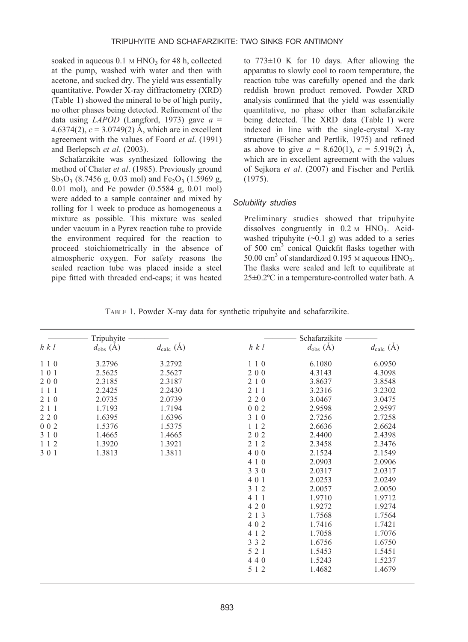soaked in aqueous  $0.1 \text{ M HNO}_3$  for 48 h, collected at the pump, washed with water and then with acetone, and sucked dry. The yield was essentially quantitative. Powder X-ray diffractometry (XRD) (Table 1) showed the mineral to be of high purity, no other phases being detected. Refinement of the data using *LAPOD* (Langford, 1973) gave  $a =$ 4.6374(2),  $c = 3.0749(2)$  Å, which are in excellent agreement with the values of Foord et al. (1991) and Berlepsch et al. (2003).

Schafarzikite was synthesized following the method of Chater et al. (1985). Previously ground  $Sb_2O_3$  (8.7456 g, 0.03 mol) and Fe<sub>2</sub>O<sub>3</sub> (1.5969 g, 0.01 mol), and Fe powder (0.5584 g, 0.01 mol) were added to a sample container and mixed by rolling for 1 week to produce as homogeneous a mixture as possible. This mixture was sealed under vacuum in a Pyrex reaction tube to provide the environment required for the reaction to proceed stoichiometrically in the absence of atmospheric oxygen. For safety reasons the sealed reaction tube was placed inside a steel pipe fitted with threaded end-caps; it was heated

to  $773\pm10$  K for 10 days. After allowing the apparatus to slowly cool to room temperature, the reaction tube was carefully opened and the dark reddish brown product removed. Powder XRD analysis confirmed that the yield was essentially quantitative, no phase other than schafarzikite being detected. The XRD data (Table 1) were indexed in line with the single-crystal X-ray structure (Fischer and Pertlik, 1975) and refined as above to give  $a = 8.620(1)$ ,  $c = 5.919(2)$  Å, which are in excellent agreement with the values of Sejkora et al. (2007) and Fischer and Pertlik (1975).

## Solubility studies

Preliminary studies showed that tripuhyite dissolves congruently in  $0.2 \text{ M HNO}_3$ . Acidwashed tripuhyite  $(-0.1 \text{ g})$  was added to a series of 500 cm3 conical Quickfit flasks together with 50.00 cm<sup>3</sup> of standardized 0.195  $\mu$  aqueous HNO<sub>3</sub>. The flasks were sealed and left to equilibrate at 25-0.2ºC in a temperature-controlled water bath. A

|  |  |  |  |  | TABLE 1. Powder X-ray data for synthetic tripuhyite and schafarzikite. |
|--|--|--|--|--|------------------------------------------------------------------------|
|--|--|--|--|--|------------------------------------------------------------------------|

| Tripuhyite |                       | Schafarzikite                |        |                       |                              |
|------------|-----------------------|------------------------------|--------|-----------------------|------------------------------|
| h k l      | $d_{\text{obs}}(\AA)$ | $d_{\text{calc}}(\check{A})$ | h k l  | $d_{\text{obs}}(\AA)$ | $d_{\text{calc}}(\check{A})$ |
| 110        | 3.2796                | 3.2792                       | 110    | 6.1080                | 6.0950                       |
| 101        | 2.5625                | 2.5627                       | 200    | 4.3143                | 4.3098                       |
| 200        | 2.3185                | 2.3187                       | 2 1 0  | 3.8637                | 3.8548                       |
| 111        | 2.2425                | 2.2430                       | 2 1 1  | 3.2316                | 3.2302                       |
| 2 1 0      | 2.0735                | 2.0739                       | 220    | 3.0467                | 3.0475                       |
| 211        | 1.7193                | 1.7194                       | 002    | 2.9598                | 2.9597                       |
| 220        | 1.6395                | 1.6396                       | 3 1 0  | 2.7256                | 2.7258                       |
| 002        | 1.5376                | 1.5375                       | 112    | 2.6636                | 2.6624                       |
| 3 1 0      | 1.4665                | 1.4665                       | 202    | 2.4400                | 2.4398                       |
| 112        | 1.3920                | 1.3921                       | 2 1 2  | 2.3458                | 2.3476                       |
| 301        | 1.3813                | 1.3811                       | 400    | 2.1524                | 2.1549                       |
|            |                       |                              | 4 1 0  | 2.0903                | 2.0906                       |
|            |                       |                              | 3 3 0  | 2.0317                | 2.0317                       |
|            |                       |                              | 401    | 2.0253                | 2.0249                       |
|            |                       |                              | 3 1 2  | 2.0057                | 2.0050                       |
|            |                       |                              | 4 1 1  | 1.9710                | 1.9712                       |
|            |                       | 4 2 0                        | 1.9272 | 1.9274                |                              |
|            |                       |                              | 2 1 3  | 1.7568                | 1.7564                       |
|            |                       |                              | 402    | 1.7416                | 1.7421                       |
|            |                       |                              | 4 1 2  | 1.7058                | 1.7076                       |
|            |                       |                              | 3 3 2  | 1.6756                | 1.6750                       |
|            |                       |                              | 5 2 1  | 1.5453                | 1.5451                       |
|            |                       |                              | 440    | 1.5243                | 1.5237                       |
|            |                       |                              | 5 1 2  | 1.4682                | 1.4679                       |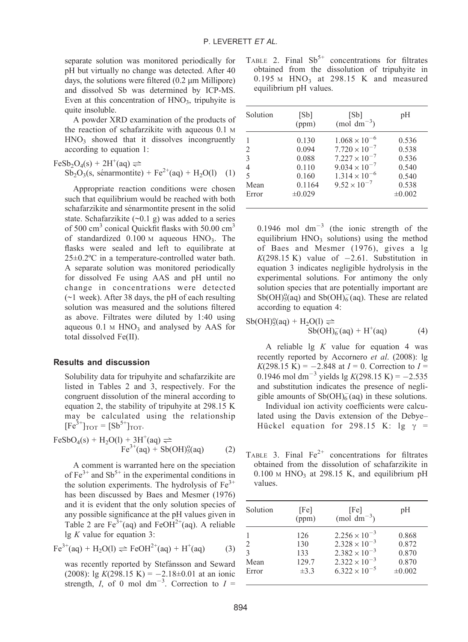separate solution was monitored periodically for pH but virtually no change was detected. After 40 days, the solutions were filtered  $(0.2 \mu m)$  Millipore) and dissolved Sb was determined by ICP-MS. Even at this concentration of  $HNO<sub>3</sub>$ , tripuhyite is quite insoluble.

A powder XRD examination of the products of the reaction of schafarzikite with aqueous 0.1 M  $HNO<sub>3</sub>$  showed that it dissolves incongruently according to equation 1:

$$
\text{FeSb}_2\text{O}_4(s) + 2\text{H}^+(aq) \rightleftharpoons
$$
  
\n
$$
\text{Sb}_2\text{O}_3(s, \text{ sénarmontite}) + \text{Fe}^{2+}(aq) + \text{H}_2\text{O}(l) \quad (1)
$$

Appropriate reaction conditions were chosen such that equilibrium would be reached with both schafarzikite and sénarmontite present in the solid state. Schafarzikite  $(\sim 0.1 \text{ g})$  was added to a series of 500 cm<sup>3</sup> conical Quickfit flasks with 50.00 cm<sup>3</sup> of standardized  $0.100 \text{ M}$  aqueous  $HNO<sub>3</sub>$ . The flasks were sealed and left to equilibrate at 25-0.2ºC in a temperature-controlled water bath. A separate solution was monitored periodically for dissolved Fe using AAS and pH until no change in concentrations were detected  $(\sim)1$  week). After 38 days, the pH of each resulting solution was measured and the solutions filtered as above. Filtrates were diluted by 1:40 using aqueous  $0.1 \text{ M HNO}_3$  and analysed by AAS for total dissolved Fe(II).

## Results and discussion

Solubility data for tripuhyite and schafarzikite are listed in Tables 2 and 3, respectively. For the congruent dissolution of the mineral according to equation 2, the stability of tripuhyite at 298.15 K may be calculated using the relationship  $[Fe^{3+}]_{TOT} = [Sb^{5+}]_{TOT}$ .

$$
FeSbO_4(s) + H_2O(l) + 3H^+(aq) \rightleftharpoons
$$
  
 
$$
Fe^{3+}(aq) + Sb(OH)^0_5(aq)
$$
 (2)

A comment is warranted here on the speciation of  $Fe^{3+}$  and  $Sb^{5+}$  in the experimental conditions in the solution experiments. The hydrolysis of  $Fe<sup>3+</sup>$ has been discussed by Baes and Mesmer (1976) and it is evident that the only solution species of any possible significance at the pH values given in Table 2 are  $Fe^{3+}(aq)$  and  $FeOH^{2+}(aq)$ . A reliable  $\lg K$  value for equation 3:

$$
\text{Fe}^{3+}(\text{aq}) + \text{H}_2\text{O(l)} \rightleftharpoons \text{FeOH}^{2+}(\text{aq}) + \text{H}^+(\text{aq}) \tag{3}
$$

was recently reported by Stefánsson and Seward  $(2008)$ : lg  $K(298.15 \text{ K}) = -2.18 \pm 0.01$  at an ionic strength, I, of 0 mol dm<sup>-3</sup>. Correction to  $I =$ 

TABLE 2. Final  $Sb^{5+}$  concentrations for filtrates obtained from the dissolution of tripuhyite in  $0.195$  M  $HNO<sub>3</sub>$  at 298.15 K and measured equilibrium pH values.

| Solution | [Sb]<br>(ppm) | [Sb]<br>$(mod \text{ dm}^{-3})$ | pH          |
|----------|---------------|---------------------------------|-------------|
|          | 0.130         | $1.068 \times 10^{-6}$          | 0.536       |
| 2        | 0.094         | $7.720 \times 10^{-7}$          | 0.538       |
| 3        | 0.088         | $7.227 \times 10^{-7}$          | 0.536       |
| 4        | 0.110         | $9.034 \times 10^{-7}$          | 0.540       |
| 5        | 0.160         | $1.314 \times 10^{-6}$          | 0.540       |
| Mean     | 0.1164        | $9.52 \times 10^{-7}$           | 0.538       |
| Error    | $\pm 0.029$   |                                 | $\pm 0.002$ |

0.1946 mol  $dm^{-3}$  (the ionic strength of the equilibrium  $HNO<sub>3</sub>$  solutions) using the method of Baes and Mesmer (1976), gives a lg  $K(298.15 \text{ K})$  value of  $-2.61$ . Substitution in equation 3 indicates negligible hydrolysis in the experimental solutions. For antimony the only solution species that are potentially important are  $Sb(OH)_{5}^{0}(aq)$  and  $Sb(OH)_{6}^{-}(aq)$ . These are related according to equation 4:

$$
Sb(OH)_5^o(aq) + H_2O(l) \rightleftharpoons \nSb(OH)_6^-(aq) + H^+(aq)
$$
\n(4)

A reliable  $\lg K$  value for equation 4 was recently reported by Accornero et al. (2008): lg  $K(298.15 \text{ K}) = -2.848 \text{ at } I = 0$ . Correction to  $I =$ 0.1946 mol dm<sup>-3</sup> yields lg  $K(298.15 \text{ K}) = -2.535$ and substitution indicates the presence of negligible amounts of  $Sb(OH)<sub>6</sub>$  (aq) in these solutions.

Individual ion activity coefficients were calculated using the Davis extension of the Debye– Hückel equation for 298.15 K: lg  $\gamma$  =

TABLE 3. Final  $Fe^{2+}$  concentrations for filtrates obtained from the dissolution of schafarzikite in  $0.100$  M HNO<sub>3</sub> at 298.15 K, and equilibrium pH values.

| [Fe]<br>(ppm) | [Fe]<br>(mol dm <sup><math>-3</math></sup> ) | pH                                                                         |
|---------------|----------------------------------------------|----------------------------------------------------------------------------|
| 126           | $2.256 \times 10^{-3}$                       | 0.868<br>0.872                                                             |
| 133           | $2.382 \times 10^{-3}$                       | 0.870                                                                      |
| 129.7         |                                              | 0.870<br>$\pm 0.002$                                                       |
|               | 130<br>$\pm 3.3$                             | $2.328 \times 10^{-3}$<br>$2.322 \times 10^{-3}$<br>$6.322 \times 10^{-5}$ |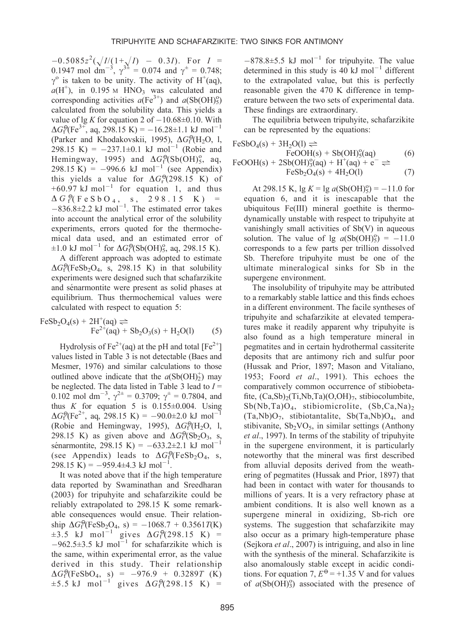$-0.5085z^2(\sqrt{I/(1+\sqrt{I})} - 0.3I)$ . For  $I =$ 0.1947 mol dm<sup>-3</sup>,  $\gamma^{3\pm} = 0.074$  and  $\gamma^{\pm} = 0.748$ ;  $\gamma^{\circ}$  is taken to be unity. The activity of H<sup>+</sup>(aq),  $a(H^+)$ , in 0.195 M HNO<sub>3</sub> was calculated and corresponding activities  $a(\text{Fe}^{3+})$  and  $a(\text{Sb(OH)}_5^{\text{o}})$ calculated from the solubility data. This yields a value of  $\lg K$  for equation 2 of  $-10.68\pm0.10$ . With  $\Delta G_f^{\Theta}(\text{Fe}^{3+})$ , aq, 298.15 K) = -16.28±1.1 kJ mol<sup>-1</sup> (Parker and Khodakovskii, 1995),  $\Delta G_f^{\Theta}(H_2O, 1, 1)$ 298.15 K) =  $-237.1 \pm 0.1$  kJ mol<sup>-1</sup> (Robie and Hemingway, 1995) and  $\Delta G_f^{\Theta}(\text{Sb}(\text{OH})_5^{\circ}, \text{aq},$ 298.15 K) =  $-996.6$  kJ mol<sup>-1</sup> (see Appendix) this yields a value for  $\Delta G_r^{\Theta}$ (298.15 K) of  $+60.97$  kJ mol<sup>-1</sup> for equation 1, and thus  $\Delta G$   $_{\rm f}^{\Theta}$  (FeSbO<sub>4</sub>, s, 298.15 K) =  $-836.8\pm2.2$  kJ mol<sup>-1</sup>. The estimated error takes into account the analytical error of the solubility experiments, errors quoted for the thermochemical data used, and an estimated error of  $\pm 1.0 \text{ kJ mol}^{-1}$  for  $\Delta G_f^{\Theta}(\text{Sb(OH)}_5^{\circ}, \text{aq}, 298.15 \text{ K}).$ 

A different approach was adopted to estimate  $\Delta G_f^{\Theta}$  (FeSb<sub>2</sub>O<sub>4</sub>, s, 298.15 K) in that solubility experiments were designed such that schafarzikite and sénarmontite were present as solid phases at equilibrium. Thus thermochemical values were calculated with respect to equation 5:

$$
FeSb2O4(s) + 2H+(aq) \rightleftharpoons
$$
  
\n
$$
Fe2+(aq) + Sb2O3(s) + H2O(l)
$$
 (5)

Hydrolysis of  $Fe^{2+}(aq)$  at the pH and total  $[Fe^{2+}]$ values listed in Table 3 is not detectable (Baes and Mesmer, 1976) and similar calculations to those outlined above indicate that the  $a(Sb(OH)_2^+)$  may be neglected. The data listed in Table 3 lead to  $I =$ 0.102 mol dm<sup>-3</sup>,  $\gamma^{2\pm} = 0.3709$ ;  $\gamma^{\pm} = 0.7804$ , and thus K for equation 5 is  $0.155 \pm 0.004$ . Using  $\Delta G_f^{\Theta}(\text{Fe}^{2+}, \text{aq}, 298.15 \text{ K}) = -90.0 \pm 2.0 \text{ kJ mol}^{-1}$ (Robie and Hemingway, 1995),  $\Delta G_f^{\Theta}(H_2O, 1,$ 298.15 K) as given above and  $\Delta G_f^{\Theta}(\text{Sb}_2\text{O}_3, s,$ sénarmontite, 298.15 K) =  $-633.2 \pm 2.1$  kJ mol<sup>-1</sup> (see Appendix) leads to  $\Delta G_f^{\Theta}$  (FeSb<sub>2</sub>O<sub>4</sub>, s,  $298.15 \text{ K}$  = -959.4±4.3 kJ mol<sup>-1</sup>.

It was noted above that if the high temperature data reported by Swaminathan and Sreedharan (2003) for tripuhyite and schafarzikite could be reliably extrapolated to 298.15 K some remarkable consequences would ensue. Their relationship  $\Delta G_f^{\Theta}$ (FeSb<sub>2</sub>O<sub>4</sub>, s) = -1068.7 + 0.3561*T*(K)  $\pm 3.5$  kJ mol<sup>-1</sup> gives  $\Delta G_f^{\Theta}(298.15 \text{ K})$  =  $-962.5\pm3.5$  kJ mol<sup>-1</sup> for schafarzikite which is the same, within experimental error, as the value derived in this study. Their relationship  $\Delta G_f^{\Theta}(\text{FeSbO}_4, s) = -976.9 + 0.3289T$  (K)  $\pm 5.5$  kJ mol<sup>-1</sup> gives  $\Delta G_f^{\Theta}(298.15 \text{ K})$  =

 $-878.8 \pm 5.5$  kJ mol<sup>-1</sup> for tripuhyite. The value determined in this study is 40  $kJ$  mol<sup>-1</sup> different to the extrapolated value, but this is perfectly reasonable given the 470 K difference in temperature between the two sets of experimental data. These findings are extraordinary.

The equilibria between tripuhyite, schafarzikite can be represented by the equations:

$$
FeSbO4(s) + 3H2O(l) \rightleftharpoons \text{FeOOH}(s) + Sb(OH)5(aq) \qquad (6)
$$
  
\n
$$
FeOOH(s) + 2Sb(OH)30(aq) + H+(aq) + e- \rightleftharpoons \text{FeSb}2O4(s) + 4H2O(l) \qquad (7)
$$

At 298.15 K,  $\lg K = \lg a(\text{Sb(OH)}_5^{\text{o}}) = -11.0$  for equation 6, and it is inescapable that the ubiquitous Fe(III) mineral goethite is thermodynamically unstable with respect to tripuhyite at vanishingly small activities of Sb(V) in aqueous solution. The value of lg  $a(Sb(OH)_5^0) = -11.0$ corresponds to a few parts per trillion dissolved Sb. Therefore tripuhyite must be one of the ultimate mineralogical sinks for Sb in the supergene environment.

The insolubility of tripuhyite may be attributed to a remarkably stable lattice and this finds echoes in a different environment. The facile syntheses of tripuhyite and schafarzikite at elevated temperatures make it readily apparent why tripuhyite is also found as a high temperature mineral in pegmatites and in certain hydrothermal cassiterite deposits that are antimony rich and sulfur poor (Hussak and Prior, 1897; Mason and Vitaliano, 1953; Foord et al., 1991). This echoes the comparatively common occurrence of stibiobetafite,  $(Ca, Sb)$ <sub>2</sub> $(Ti, Nb, Ta)$  $(O, OH)$ <sub>7</sub>, stibiocolumbite,  $Sb(Nb,Ta)O<sub>4</sub>$ , stibiomicrolite,  $(Sb,Ca,Na)$ <sub>2</sub>  $(Ta,Nb)O<sub>7</sub>$ , stibiotantalite, Sb $(Ta,Nb)O<sub>4</sub>$ , and stibivanite,  $Sb_2VO_5$ , in similar settings (Anthony et al., 1997). In terms of the stability of tripuhyite in the supergene environment, it is particularly noteworthy that the mineral was first described from alluvial deposits derived from the weathering of pegmatites (Hussak and Prior, 1897) that had been in contact with water for thousands to millions of years. It is a very refractory phase at ambient conditions. It is also well known as a supergene mineral in oxidizing, Sb-rich ore systems. The suggestion that schafarzikite may also occur as a primary high-temperature phase (Sejkora et al., 2007) is intriguing, and also in line with the synthesis of the mineral. Schafarzikite is also anomalously stable except in acidic conditions. For equation 7,  $E^{\Theta} = +1.35$  V and for values of  $a(Sb(OH)<sub>3</sub>)$  associated with the presence of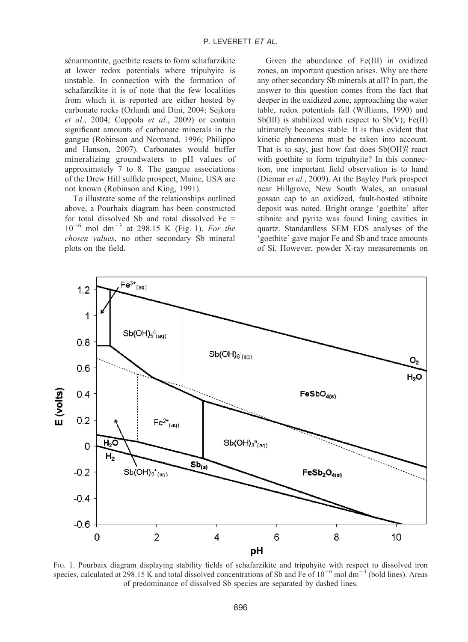sénarmontite, goethite reacts to form schafarzikite at lower redox potentials where tripuhyite is unstable. In connection with the formation of schafarzikite it is of note that the few localities from which it is reported are either hosted by carbonate rocks (Orlandi and Dini, 2004; Sejkora et al., 2004; Coppola et al., 2009) or contain significant amounts of carbonate minerals in the gangue (Robinson and Normand, 1996; Philippo and Hanson, 2007). Carbonates would buffer mineralizing groundwaters to pH values of approximately 7 to 8. The gangue associations of the Drew Hill sulfide prospect, Maine, USA are not known (Robinson and King, 1991).

To illustrate some of the relationships outlined above, a Pourbaix diagram has been constructed for total dissolved Sb and total dissolved  $Fe =$  $10^{-6}$  mol dm<sup>-3</sup> at 298.15 K (Fig. 1). For the chosen values, no other secondary Sb mineral plots on the field.

Given the abundance of Fe(III) in oxidized zones, an important question arises. Why are there any other secondary Sb minerals at all? In part, the answer to this question comes from the fact that deeper in the oxidized zone, approaching the water table, redox potentials fall (Williams, 1990) and Sb(III) is stabilized with respect to Sb(V); Fe(II) ultimately becomes stable. It is thus evident that kinetic phenomena must be taken into account. That is to say, just how fast does  $Sb(OH)_5^o$  react with goethite to form tripuhyite? In this connection, one important field observation is to hand (Diemar et al., 2009). At the Bayley Park prospect near Hillgrove, New South Wales, an unusual gossan cap to an oxidized, fault-hosted stibnite deposit was noted. Bright orange 'goethite' after stibnite and pyrite was found lining cavities in quartz. Standardless SEM EDS analyses of the 'goethite' gave major Fe and Sb and trace amounts of Si. However, powder X-ray measurements on



FIG. 1. Pourbaix diagram displaying stability fields of schafarzikite and tripuhyite with respect to dissolved iron species, calculated at 298.15 K and total dissolved concentrations of Sb and Fe of  $10^{-6}$  mol dm<sup>-3</sup> (bold lines). Areas of predominance of dissolved Sb species are separated by dashed lines.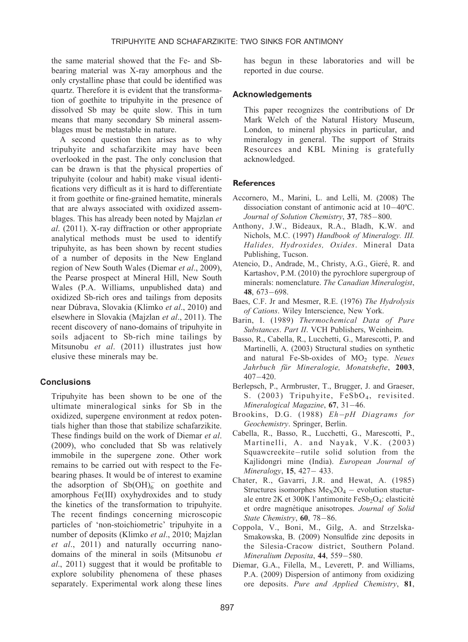the same material showed that the Fe- and Sbbearing material was X-ray amorphous and the only crystalline phase that could be identified was quartz. Therefore it is evident that the transformation of goethite to tripuhyite in the presence of dissolved Sb may be quite slow. This in turn means that many secondary Sb mineral assemblages must be metastable in nature.

A second question then arises as to why tripuhyite and schafarzikite may have been overlooked in the past. The only conclusion that can be drawn is that the physical properties of tripuhyite (colour and habit) make visual identifications very difficult as it is hard to differentiate it from goethite or fine-grained hematite, minerals that are always associated with oxidized assemblages. This has already been noted by Majzlan et al. (2011). X-ray diffraction or other appropriate analytical methods must be used to identify tripuhyite, as has been shown by recent studies of a number of deposits in the New England region of New South Wales (Diemar et al., 2009), the Pearse prospect at Mineral Hill, New South Wales (P.A. Williams, unpublished data) and oxidized Sb-rich ores and tailings from deposits near Dúbrava, Slovakia (Klimko et al., 2010) and elsewhere in Slovakia (Majzlan et al., 2011). The recent discovery of nano-domains of tripuhyite in soils adjacent to Sb-rich mine tailings by Mitsunobu et al. (2011) illustrates just how elusive these minerals may be.

# **Conclusions**

Tripuhyite has been shown to be one of the ultimate mineralogical sinks for Sb in the oxidized, supergene environment at redox potentials higher than those that stabilize schafarzikite. These findings build on the work of Diemar et al. (2009), who concluded that Sb was relatively immobile in the supergene zone. Other work remains to be carried out with respect to the Febearing phases. It would be of interest to examine the adsorption of  $Sb(OH)_6^-$  on goethite and amorphous Fe(III) oxyhydroxides and to study the kinetics of the transformation to tripuhyite. The recent findings concerning microscopic particles of 'non-stoichiometric' tripuhyite in a number of deposits (Klimko et al., 2010; Majzlan  $et \ al., 2011)$  and naturally occurring nanodomains of the mineral in soils (Mitsunobu et al., 2011) suggest that it would be profitable to explore solubility phenomena of these phases separately. Experimental work along these lines

897

has begun in these laboratories and will be reported in due course.

## **Acknowledgements**

This paper recognizes the contributions of Dr Mark Welch of the Natural History Museum, London, to mineral physics in particular, and mineralogy in general. The support of Straits Resources and KBL Mining is gratefully acknowledged.

## **References**

- Accornero, M., Marini, L. and Lelli, M. (2008) The dissociation constant of antimonic acid at 10-40ºC. Journal of Solution Chemistry, 37, 785-800.
- Anthony, J.W., Bideaux, R.A., Bladh, K.W. and Nichols, M.C. (1997) Handbook of Mineralogy. III. Halides, Hydroxides, Oxides. Mineral Data Publishing, Tucson.
- Atencio, D., Andrade, M., Christy, A.G., Gieré, R. and Kartashov, P.M. (2010) the pyrochlore supergroup of minerals: nomenclature. The Canadian Mineralogist, 48, 673-698.
- Baes, C.F. Jr and Mesmer, R.E. (1976) The Hydrolysis of Cations. Wiley Interscience, New York.
- Barin, I. (1989) Thermochemical Data of Pure Substances. Part II. VCH Publishers, Weinheim.
- Basso, R., Cabella, R., Lucchetti, G., Marescotti, P. and Martinelli, A. (2003) Structural studies on synthetic and natural Fe-Sb-oxides of  $MO<sub>2</sub>$  type. Neues Jahrbuch für Mineralogie, Monatshefte, 2003, 407-420.
- Berlepsch, P., Armbruster, T., Brugger, J. and Graeser, S. (2003) Tripuhyite, FeSbO<sub>4</sub>, revisited. Mineralogical Magazine, **67**, 31–46.
- Brookins, D.G. (1988) Eh-pH Diagrams for Geochemistry. Springer, Berlin.
- Cabella, R., Basso, R., Lucchetti, G., Marescotti, P., Martinelli, A. and Nayak, V.K. (2003) Squawcreekite-rutile solid solution from the Kajlidongri mine (India). European Journal of Mineralogy, 15, 427 - 433.
- Chater, R., Gavarri, J.R. and Hewat, A. (1985) Structures isomorphes  $Me<sub>X</sub>2O<sub>4</sub>$  – evolution stucturale entre 2K et 300K l'antimonite FeSb<sub>2</sub>O<sub>4</sub>: elasticité et ordre magnétique anisotropes. Journal of Solid State Chemistry, 60, 78-86.
- Coppola, V., Boni, M., Gilg, A. and Strzelska-Smakowska, B. (2009) Nonsulfide zinc deposits in the Silesia-Cracow district, Southern Poland. Mineralium Deposita, 44, 559–580.
- Diemar, G.A., Filella, M., Leverett, P. and Williams, P.A. (2009) Dispersion of antimony from oxidizing ore deposits. Pure and Applied Chemistry, 81,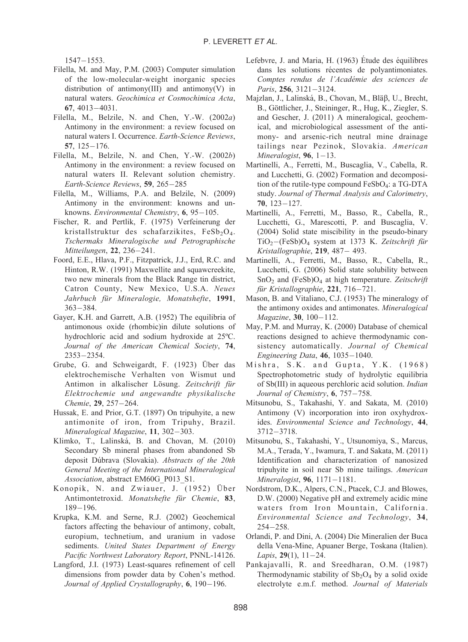$1547 - 1553.$ 

- Filella, M. and May, P.M. (2003) Computer simulation of the low-molecular-weight inorganic species distribution of antimony(III) and antimony(V) in natural waters. Geochimica et Cosmochimica Acta, 67, 4013-4031.
- Filella, M., Belzile, N. and Chen, Y.-W. (2002a) Antimony in the environment: a review focused on natural waters I. Occurrence. Earth-Science Reviews, 57, 125-176.
- Filella, M., Belzile, N. and Chen, Y.-W. (2002b) Antimony in the environment: a review focused on natural waters II. Relevant solution chemistry. Earth-Science Reviews, 59, 265-285
- Filella, M., Williams, P.A. and Belzile, N. (2009) Antimony in the environment: knowns and unknowns. Environmental Chemistry, 6, 95-105.
- Fischer, R. and Pertlik, F. (1975) Verfeinerung der kristallstruktur des schafarzikites, FeSb<sub>2</sub>O<sub>4</sub>. Tschermaks Mineralogische und Petrographische Mitteilungen, 22, 236-241.
- Foord, E.E., Hlava, P.F., Fitzpatrick, J.J., Erd, R.C. and Hinton, R.W. (1991) Maxwellite and squawcreekite, two new minerals from the Black Range tin district, Catron County, New Mexico, U.S.A. Neues Jahrbuch für Mineralogie, Monatshefte, 1991, 363-384.
- Gayer, K.H. and Garrett, A.B. (1952) The equilibria of antimonous oxide (rhombic)in dilute solutions of hydrochloric acid and sodium hydroxide at 25ºC. Journal of the American Chemical Society, 74, 2353-2354.
- Grube, G. and Schweigardt, F. (1923) Über das elektrochemische Verhalten von Wismut und Antimon in alkalischer Lösung. Zeitschrift für Elektrochemie und angewandte physikalische Chemie, 29, 257-264.
- Hussak, E. and Prior, G.T. (1897) On tripuhyite, a new antimonite of iron, from Tripuhy, Brazil. Mineralogical Magazine, 11, 302–303.
- Klimko, T., Lalinská, B. and Chovan, M. (2010) Secondary Sb mineral phases from abandoned Sb deposit Dúbrava (Slovakia). Abstracts of the 20th General Meeting of the International Mineralogical Association, abstract EM60G\_P013\_S1.
- Konopik, N. and Zwiauer, J. (1952) Über Antimontetroxid. Monatshefte für Chemie, 83, 189-196.
- Krupka, K.M. and Serne, R.J. (2002) Geochemical factors affecting the behaviour of antimony, cobalt, europium, technetium, and uranium in vadose sediments. United States Department of Energy Pacific Northwest Laboratory Report, PNNL-14126.
- Langford, J.I. (1973) Least-squares refinement of cell dimensions from powder data by Cohen's method. Journal of Applied Crystallography, 6, 190–196.
- Lefebvre, J. and Maria, H.  $(1963)$  Etude des équilibres dans les solutions récentes de polyantimoniates. Comptes rendus de l'Académie des sciences de Paris, 256, 3121-3124.
- Majzlan, J., Lalinská, B., Chovan, M., Bläß, U., Brecht, B., Göttlicher, J., Steininger, R., Hug, K., Ziegler, S. and Gescher, J. (2011) A mineralogical, geochemical, and microbiological assessment of the antimony- and arsenic-rich neutral mine drainage tailings near Pezinok, Slovakia. American  $Mineralogist, 96, 1-13.$
- Martinelli, A., Ferretti, M., Buscaglia, V., Cabella, R. and Lucchetti, G. (2002) Formation and decomposition of the rutile-type compound  $FeSbO<sub>4</sub>$ : a TG-DTA study. Journal of Thermal Analysis and Calorimetry,  $70, 123 - 127.$
- Martinelli, A., Ferretti, M., Basso, R., Cabella, R., Lucchetti, G., Marescotti, P. and Buscaglia, V. (2004) Solid state miscibility in the pseudo-binary  $TiO<sub>2</sub>$  -(FeSb) $O<sub>4</sub>$  system at 1373 K. Zeitschrift für Kristallographie, 219, 487- 493.
- Martinelli, A., Ferretti, M., Basso, R., Cabella, R., Lucchetti, G. (2006) Solid state solubility between  $SnO<sub>2</sub>$  and (FeSb) $O<sub>4</sub>$  at high temperature. Zeitschrift für Kristallographie, **221**, 716–721.
- Mason, B. and Vitaliano, C.J. (1953) The mineralogy of the antimony oxides and antimonates. Mineralogical Magazine, 30, 100-112.
- May, P.M. and Murray, K. (2000) Database of chemical reactions designed to achieve thermodynamic consistency automatically. Journal of Chemical Engineering Data, 46, 1035-1040.
- Mishra, S.K. and Gupta, Y.K. (1968) Spectrophotometric study of hydrolytic equilibria of Sb(III) in aqueous perchloric acid solution. Indian Journal of Chemistry, **6**, 757–758.
- Mitsunobu, S., Takahashi, Y. and Sakata, M. (2010) Antimony (V) incorporation into iron oxyhydroxides. Environmental Science and Technology, 44, 3712-3718.
- Mitsunobu, S., Takahashi, Y., Utsunomiya, S., Marcus, M.A., Terada, Y., Iwamura, T. and Sakata, M. (2011) Identification and characterization of nanosized tripuhyite in soil near Sb mine tailings. American Mineralogist, **96**, 1171–1181.
- Nordstrom, D.K., Alpers, C.N., Ptacek, C.J. and Blowes, D.W. (2000) Negative pH and extremely acidic mine waters from Iron Mountain, California. Environmental Science and Technology, 34, 254-258.
- Orlandi, P. and Dini, A. (2004) Die Mineralien der Buca della Vena-Mine, Apuaner Berge, Toskana (Italien). Lapis, 29(1), 11-24.
- Pankajavalli, R. and Sreedharan, O.M. (1987) Thermodynamic stability of  $Sb_2O_4$  by a solid oxide electrolyte e.m.f. method. Journal of Materials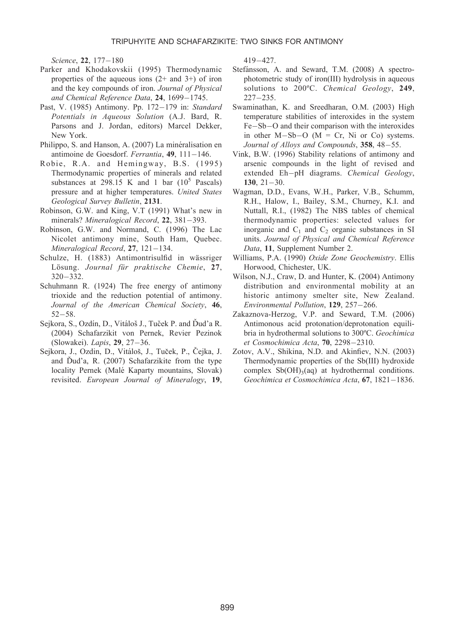Science, **22**, 177–180

- Parker and Khodakovskii (1995) Thermodynamic properties of the aqueous ions  $(2+$  and  $3+)$  of iron and the key compounds of iron. Journal of Physical and Chemical Reference Data, 24, 1699-1745.
- Past, V. (1985) Antimony. Pp. 172-179 in: Standard Potentials in Aqueous Solution (A.J. Bard, R. Parsons and J. Jordan, editors) Marcel Dekker, New York.
- Philippo, S. and Hanson, A. (2007) La minéralisation en antimoine de Goesdorf. *Ferrantia*, 49, 111-146.
- Robie, R.A. and Hemingway, B.S. (1995) Thermodynamic properties of minerals and related substances at 298.15 K and 1 bar  $(10^5 \text{ Pascals})$ pressure and at higher temperatures. United States Geological Survey Bulletin, 2131.
- Robinson, G.W. and King, V.T (1991) What's new in minerals? Mineralogical Record, 22, 381-393.
- Robinson, G.W. and Normand, C. (1996) The Lac Nicolet antimony mine, South Ham, Quebec. Mineralogical Record, **27**, 121–134.
- Schulze, H. (1883) Antimontrisulfid in wässriger Lösung. Journal für praktische Chemie, 27, 320-332.
- Schuhmann R. (1924) The free energy of antimony trioxide and the reduction potential of antimony. Journal of the American Chemical Society, 46,  $52 - 58.$
- Sejkora, S., Ozdín, D., Vitáloš J., Tuček P. and Ďud'a R. (2004) Schafarzikit von Pernek, Revier Pezinok (Slowakei). *Lapis*, **29**, 27–36.
- Sejkora, J., Ozdin, D., Vitáloš, J., Tuček, P., Čejka, J. and Dud'a, R.  $(2007)$  Schafarzikite from the type locality Pernek (Malé Kaparty mountains, Slovak) revisited. European Journal of Mineralogy, 19,

419-427.

- Stefánsson, A. and Seward, T.M. (2008) A spectrophotometric study of iron(III) hydrolysis in aqueous solutions to 200°C. Chemical Geology, 249, 227-235.
- Swaminathan, K. and Sreedharan, O.M. (2003) High temperature stabilities of interoxides in the system Fe-Sb-O and their comparison with the interoxides in other  $M-Sb-O$  ( $M = Cr$ , Ni or Co) systems. Journal of Alloys and Compounds, **358**, 48–55.
- Vink, B.W. (1996) Stability relations of antimony and arsenic compounds in the light of revised and extended Eh-pH diagrams. Chemical Geology,  $130, 21 - 30.$
- Wagman, D.D., Evans, W.H., Parker, V.B., Schumm, R.H., Halow, I., Bailey, S.M., Churney, K.I. and Nuttall, R.I., (1982) The NBS tables of chemical thermodynamic properties: selected values for inorganic and  $C_1$  and  $C_2$  organic substances in SI units. Journal of Physical and Chemical Reference Data, 11, Supplement Number 2.
- Williams, P.A. (1990) Oxide Zone Geochemistry. Ellis Horwood, Chichester, UK.
- Wilson, N.J., Craw, D. and Hunter, K. (2004) Antimony distribution and environmental mobility at an historic antimony smelter site, New Zealand. Environmental Pollution, 129, 257-266.
- Zakaznova-Herzog, V.P. and Seward, T.M. (2006) Antimonous acid protonation/deprotonation equilibria in hydrothermal solutions to 300ºC. Geochimica et Cosmochimica Acta, **70**, 2298-2310.
- Zotov, A.V., Shikina, N.D. and Akinfiev, N.N. (2003) Thermodynamic properties of the Sb(III) hydroxide complex  $Sb(OH)_{3}(aq)$  at hydrothermal conditions. Geochimica et Cosmochimica Acta, 67, 1821-1836.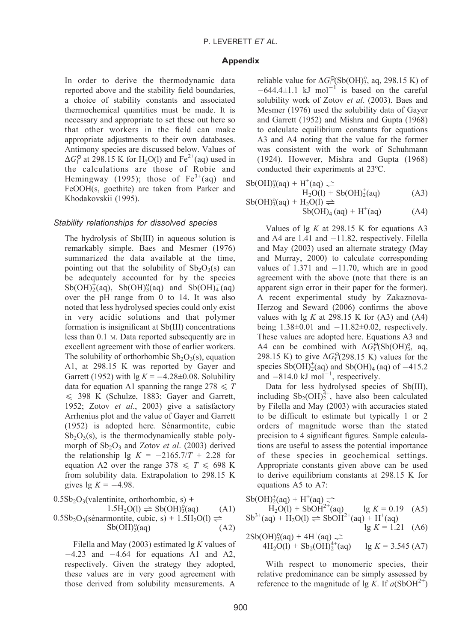#### Appendix

In order to derive the thermodynamic data reported above and the stability field boundaries, a choice of stability constants and associated thermochemical quantities must be made. It is necessary and appropriate to set these out here so that other workers in the field can make appropriate adjustments to their own databases. Antimony species are discussed below. Values of  $\Delta G_f^{\Theta}$  at 298.15 K for H<sub>2</sub>O(l) and Fe<sup>2+</sup>(aq) used in the calculations are those of Robie and Hemingway (1995); those of  $Fe^{3+}(aq)$  and FeOOH(s, goethite) are taken from Parker and Khodakovskii (1995).

## Stability relationships for dissolved species

The hydrolysis of Sb(III) in aqueous solution is remarkably simple. Baes and Mesmer (1976) summarized the data available at the time, pointing out that the solubility of  $Sb<sub>2</sub>O<sub>3</sub>(s)$  can be adequately accounted for by the species  $\text{Sb(OH)}_2^{\dagger}$ (aq),  $\text{Sb(OH)}_3^{\circ}$ (aq) and  $\text{Sb(OH)}_4^{\dagger}$ (aq) over the pH range from 0 to 14. It was also noted that less hydrolysed species could only exist in very acidic solutions and that polymer formation is insignificant at Sb(III) concentrations less than 0.1 M. Data reported subsequently are in excellent agreement with those of earlier workers. The solubility of orthorhombic  $Sb_2O_3(s)$ , equation A1, at 298.15 K was reported by Gayer and Garrett (1952) with  $\lg K = -4.28 \pm 0.08$ . Solubility data for equation A1 spanning the range  $278 \leq T$  $\leq$  398 K (Schulze, 1883; Gayer and Garrett, 1952; Zotov et al., 2003) give a satisfactory Arrhenius plot and the value of Gayer and Garrett  $(1952)$  is adopted here. Sénarmontite, cubic  $Sb<sub>2</sub>O<sub>3</sub>(s)$ , is the thermodynamically stable polymorph of  $Sb_2O_3$  and Zotov *et al.* (2003) derived the relationship  $\lg K = -2165.7/T + 2.28$  for equation A2 over the range  $378 \leq T \leq 698$  K from solubility data. Extrapolation to 298.15 K gives  $\lg K = -4.98$ .

$$
0.5Sb2O3(valentinite, orthorhombic, s) +1.5H2O(1)  $\rightleftharpoons$  Sb(OH)<sub>3</sub><sup>o</sup>(aq) (A1)  
0.5Sb<sub>2</sub>O<sub>3</sub>(sénarmontite, cubic, s) + 1.5H<sub>2</sub>O(1)  $\rightleftharpoons$   
Sb(OH)<sub>3</sub><sup>o</sup>(aq) (A2)
$$

Filella and May (2003) estimated  $\lg K$  values of  $-4.23$  and  $-4.64$  for equations A1 and A2, respectively. Given the strategy they adopted, these values are in very good agreement with those derived from solubility measurements. A

reliable value for  $\Delta G_f^{\Theta}(\text{Sb(OH)}_3^{\circ}, \text{aq}, 298.15 \text{ K})$  of  $-644.4 \pm 1.1$  kJ mol<sup>-1</sup> is based on the careful solubility work of Zotov et al. (2003). Baes and Mesmer (1976) used the solubility data of Gayer and Garrett (1952) and Mishra and Gupta (1968) to calculate equilibrium constants for equations A3 and A4 noting that the value for the former was consistent with the work of Schuhmann (1924). However, Mishra and Gupta (1968) conducted their experiments at 23ºC.

$$
Sb(OH)39(aq) + H+(aq) ⇒H2O(l) + Sb(OH)2+(aq)
$$
  

$$
Sb(OH)39(aq) + H2O(l) ⇒
$$
 (A3)

$$
Sb(OH)_{4}^{-}(aq) + H^{+}(aq)
$$
 (A4)

Values of  $\lg K$  at 298.15 K for equations A3 and A4 are  $1.41$  and  $-11.82$ , respectively. Filella and May (2003) used an alternate strategy (May and Murray, 2000) to calculate corresponding values of  $1.371$  and  $-11.70$ , which are in good agreement with the above (note that there is an apparent sign error in their paper for the former). A recent experimental study by Zakaznova-Herzog and Seward (2006) confirms the above values with  $\lg K$  at 298.15 K for (A3) and (A4) being  $1.38\pm0.01$  and  $-11.82\pm0.02$ , respectively. These values are adopted here. Equations A3 and A4 can be combined with  $\Delta G_{\rm f}^{\Theta}(\rm Sb(OH)_3^{\rm o}, \text{aq},$ 298.15 K) to give  $\Delta G_f^{\Theta}$  (298.15 K) values for the species  $\text{Sb(OH)}_{2}^{+}$ (aq) and  $\text{Sb(OH)}_{4}^{-}$ (aq) of -415.2 and  $-814.0 \text{ kJ mol}^{-1}$ , respectively.

Data for less hydrolysed species of Sb(III), including  $\text{Sb}_2(\text{OH})_2^{4+}$ , have also been calculated by Filella and May (2003) with accuracies stated to be difficult to estimate but typically 1 or 2 orders of magnitude worse than the stated precision to 4 significant figures. Sample calculations are useful to assess the potential importance of these species in geochemical settings. Appropriate constants given above can be used to derive equilibrium constants at 298.15 K for equations A5 to A7:

$$
Sb(OH)2+(aq) + H+(aq) \rightleftharpoons H2O(l) + SbOH2+(aq)
$$
lg K = 0.19 (A5)  
\n
$$
Sb3+(aq) + H2O(l) \rightleftharpoons SbOH2+(aq) + H+(aq)
$$
lg K = 1.21 (A6)  
\n
$$
Sb3+(OH)9(aq) + AH+(qq) \rightleftharpoons
$$

$$
2\text{Sb(OH)}^{0}_{3}\text{(aq)} + 4\text{H}^{+}\text{(aq)} \rightleftharpoons \n4\text{H}_{2}\text{O(l)} + \text{Sb}_{2}\text{(OH)}^{4+}_{2}\text{(aq)} \qquad \text{lg } K = 3.545 \text{ (A7)}
$$

With respect to monomeric species, their relative predominance can be simply assessed by reference to the magnitude of lg K. If  $a(SbOH<sup>2+</sup>)$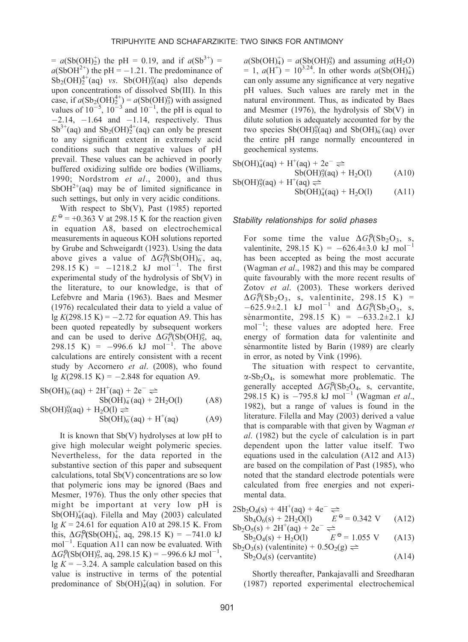$= a(Sb(OH)<sub>2</sub>)$  the pH = 0.19, and if  $a(Sb<sup>3+</sup>)$  =  $a(SbOH<sup>2+</sup>)$  the pH = -1.21. The predominance of  $Sb_2(OH)_2^{4+}(aq)$  vs.  $Sb(OH)_3^o(aq)$  also depends upon concentrations of dissolved Sb(III). In this case, if  $a(Sb_2(OH)<sub>2</sub><sup>4+</sup>) = a(Sb(OH)<sub>3</sub><sup>o</sup>)$  with assigned values of  $10^{-5}$ ,  $10^{-3}$  and  $10^{-1}$ , the pH is equal to  $-2.14$ ,  $-1.64$  and  $-1.14$ , respectively. Thus  $Sb^{3+}$ (aq) and  $Sb_2(OH)<sub>2</sub><sup>4+</sup>$ (aq) can only be present to any significant extent in extremely acid conditions such that negative values of pH prevail. These values can be achieved in poorly buffered oxidizing sulfide ore bodies (Williams, 1990; Nordstrom et al., 2000), and thus  $SbOH<sup>2+</sup>(aq)$  may be of limited significance in such settings, but only in very acidic conditions.

With respect to Sb(V), Past (1985) reported  $E^{\Theta}$  = +0.363 V at 298.15 K for the reaction given in equation A8, based on electrochemical measurements in aqueous KOH solutions reported by Grube and Schweigardt (1923). Using the data above gives a value of  $\Delta G_f^{\Theta}(\mathrm{Sb}(\mathrm{OH})_6^-, \text{ aq},$  $298.15 \text{ K}$  =  $-1218.2 \text{ kJ} \text{ mol}^{-1}$ . The first experimental study of the hydrolysis of Sb(V) in the literature, to our knowledge, is that of Lefebvre and Maria (1963). Baes and Mesmer (1976) recalculated their data to yield a value of  $\lg K(298.15 \text{ K}) = -2.72$  for equation A9. This has been quoted repeatedly by subsequent workers and can be used to derive  $\Delta G_f^{\Theta}(\text{Sb(OH)}_5^{\circ}, \text{aq},$ 298.15 K) =  $-996.6$  kJ mol<sup>-1</sup>. The above calculations are entirely consistent with a recent study by Accornero et al. (2008), who found  $\lg K(298.15 \text{ K}) = -2.848 \text{ for equation A9}.$ 

$$
Sb(OH)_{6}^{-}(aq) + 2H^{+}(aq) + 2e^{-} \rightleftharpoons
$$
  
\n
$$
Sb(OH)_{5}^{2}(aq) + H_{2}O(l) \rightleftharpoons
$$
  
\n
$$
Sb(OH)_{5}^{0}(aq) + H_{2}O(l) \rightleftharpoons
$$
  
\n
$$
Sb(OH)_{6}^{-}(aq) + H^{+}(aq) \tag{A9}
$$

It is known that Sb(V) hydrolyses at low pH to give high molecular weight polymeric species. Nevertheless, for the data reported in the substantive section of this paper and subsequent calculations, total Sb(V) concentrations are so low that polymeric ions may be ignored (Baes and Mesmer, 1976). Thus the only other species that might be important at very low pH is  $Sb(OH)<sub>4</sub>(aq)$ . Filella and May (2003) calculated lg  $K = 24.61$  for equation A10 at 298.15 K. From this,  $\Delta G_f^{\Theta}(\text{Sb(OH)}_4^{\hat{+}}, \text{aq}, 298.15 \text{ K}) = -741.0 \text{ kJ}$  $mol^{-1}$ . Equation A11 can now be evaluated. With  $\Delta G_f^{\Theta}(\text{Sb}(\text{OH})_5^{\circ}, \text{aq}, 298.15 \text{ K}) = -996.6 \text{ kJ mol}^{-1},$  $\lg K = -3.24$ . A sample calculation based on this value is instructive in terms of the potential predominance of  $Sb(OH)<sub>4</sub>(aq)$  in solution. For

 $a(Sb(OH)_4^+) = a(Sb(OH)_5^0)$  and assuming  $a(H_2O)$  $= 1, a(H^+) = 10^{3.24}$ . In other words  $a(Sb(OH)_4^+)$ can only assume any significance at very negative pH values. Such values are rarely met in the natural environment. Thus, as indicated by Baes and Mesmer (1976), the hydrolysis of Sb(V) in dilute solution is adequately accounted for by the two species  $\text{Sb(OH)}_5^{\circ}$ (aq) and  $\text{Sb(OH)}_6^{\circ}$ (aq) over the entire pH range normally encountered in geochemical systems.

$$
Sb(OH)44(aq) + H+(aq) + 2e- \rightleftharpoons \nSb(OH)93(aq) + H2O(l) \n\nSb(OH)95(aq) + H+(aq) \rightleftharpoons \nSb(OH)44(aq) + H2O(l) \n\n(A11)
$$

#### Stability relationships for solid phases

For some time the value  $\Delta G_f^{\Theta}(\mathrm{Sb}_2\mathrm{O}_3, s,$ valentinite, 298.15 K) =  $-626.4 \pm 3.0$  kJ mol<sup>-1</sup> has been accepted as being the most accurate (Wagman et al., 1982) and this may be compared quite favourably with the more recent results of Zotov et al. (2003). These workers derived  $\Delta G_f^{\Theta}(\text{Sb}_2\text{O}_3, \text{ s}, \text{ valentinite}, 298.15 \text{ K})$  =  $-625.9\pm2.1$  kJ mol<sup>-1</sup> and  $\Delta G_f^{\Theta}(\mathrm{Sb}_2\mathrm{O}_3, s)$ sénarmontite, 298.15 K) =  $-633.2 \pm 2.1$  kJ  $mol^{-1}$ ; these values are adopted here. Free energy of formation data for valentinite and sénarmontite listed by Barin (1989) are clearly in error, as noted by Vink (1996).

The situation with respect to cervantite,  $\alpha$ -Sb<sub>2</sub>O<sub>4</sub>, is somewhat more problematic. The generally accepted  $\Delta G_f^{\Theta}(\mathrm{Sb}_2\mathrm{O}_4, \mathrm{s})$ , cervantite, 298.15 K) is  $-795.8 \text{ kJ mol}^{-1}$  (Wagman *et al.*, 1982), but a range of values is found in the literature. Filella and May (2003) derived a value that is comparable with that given by Wagman et al. (1982) but the cycle of calculation is in part dependent upon the latter value itself. Two equations used in the calculation (A12 and A13) are based on the compilation of Past (1985), who noted that the standard electrode potentials were calculated from free energies and not experimental data.

$$
2\text{Sb}_2\text{O}_4(s) + 4\text{H}^+(aq) + 4e^- \rightleftharpoons \n\text{Sb}_4\text{O}_6(s) + 2\text{H}_2\text{O}(1) \qquad E^\Theta = 0.342 \text{ V} \qquad \text{(A12)}
$$
\n
$$
\text{Sb}_2\text{O}_5(s) + 2\text{H}^+(aq) + 2e^- \rightleftharpoons
$$

 $Sb_2O_4(s) + H_2O(1)$   $E^{\Theta} = 1.055 \text{ V}$  (A13) Sb<sub>2</sub>O<sub>3</sub>(s) (valentinite) +  $0.5O_2(g) \rightleftharpoons$ 

$$
Sb2O4(s) (cervantite) \t(A14)
$$

Shortly thereafter, Pankajavalli and Sreedharan (1987) reported experimental electrochemical